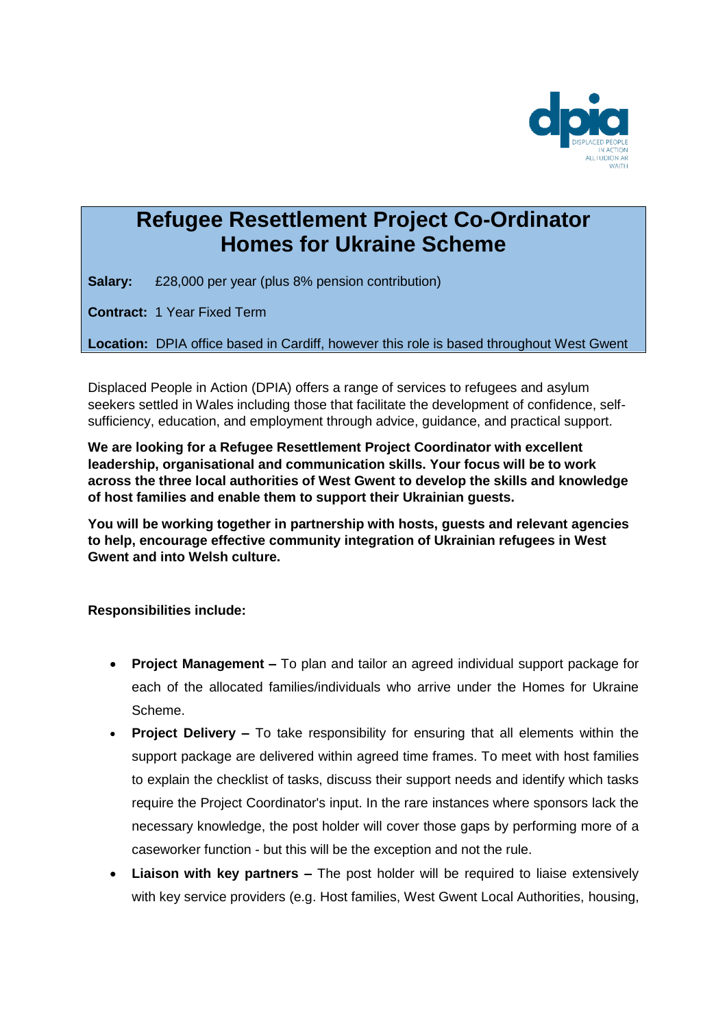

## **Refugee Resettlement Project Co-Ordinator Homes for Ukraine Scheme**

**Salary:** £28,000 per year (plus 8% pension contribution)

**Contract:** 1 Year Fixed Term

**Location:** DPIA office based in Cardiff, however this role is based throughout West Gwent

Displaced People in Action (DPIA) offers a range of services to refugees and asylum seekers settled in Wales including those that facilitate the development of confidence, selfsufficiency, education, and employment through advice, guidance, and practical support.

**We are looking for a Refugee Resettlement Project Coordinator with excellent leadership, organisational and communication skills. Your focus will be to work across the three local authorities of West Gwent to develop the skills and knowledge of host families and enable them to support their Ukrainian guests.**

**You will be working together in partnership with hosts, guests and relevant agencies to help, encourage effective community integration of Ukrainian refugees in West Gwent and into Welsh culture.**

**Responsibilities include:**

- **Project Management –** To plan and tailor an agreed individual support package for each of the allocated families/individuals who arrive under the Homes for Ukraine Scheme.
- **Project Delivery –** To take responsibility for ensuring that all elements within the support package are delivered within agreed time frames. To meet with host families to explain the checklist of tasks, discuss their support needs and identify which tasks require the Project Coordinator's input. In the rare instances where sponsors lack the necessary knowledge, the post holder will cover those gaps by performing more of a caseworker function - but this will be the exception and not the rule.
- **Liaison with key partners –** The post holder will be required to liaise extensively with key service providers (e.g. Host families, West Gwent Local Authorities, housing,